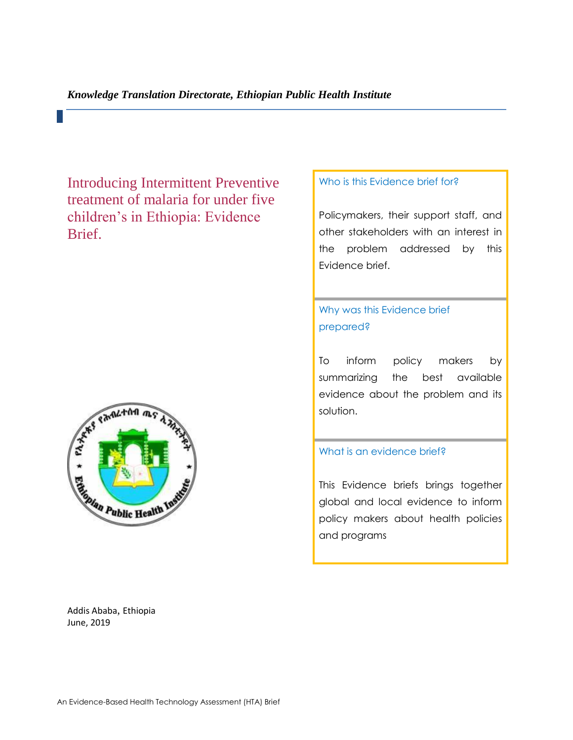Introducing Intermittent Preventive treatment of malaria for under five children's in Ethiopia: Evidence Brief.



#### Addis Ababa, Ethiopia June, 2019

### Who is this Evidence brief for?

Policymakers, their support staff, and other stakeholders with an interest in the problem addressed by this Evidence brief.

# Why was this Evidence brief prepared?

To inform policy makers by summarizing the best available evidence about the problem and its solution.

#### What is an evidence brief?

This Evidence briefs brings together global and local evidence to inform policy makers about health policies and programs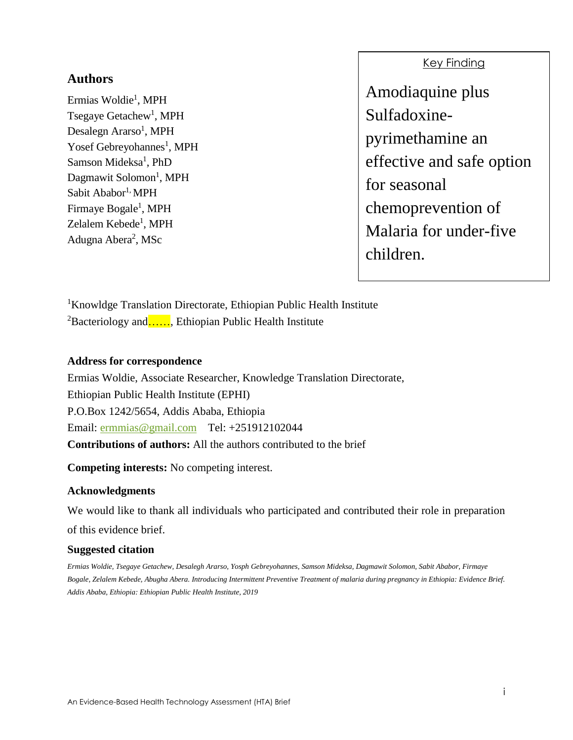## **Authors**

Ermias Woldie<sup>1</sup>, MPH Tsegaye Getachew<sup>1</sup>, MPH Desalegn Ararso<sup>1</sup>, MPH Yosef Gebreyohannes<sup>1</sup>, MPH Samson Mideksa<sup>1</sup>, PhD Dagmawit Solomon<sup>1</sup>, MPH Sabit Ababor<sup>1,</sup> MPH Firmaye Bogale<sup>1</sup>, MPH Zelalem Kebede<sup>1</sup>, MPH Adugna Abera<sup>2</sup>, MSc

### Key Finding

Amodiaquine plus Sulfadoxinepyrimethamine an effective and safe option for seasonal chemoprevention of Malaria for under-five children.

<sup>1</sup>Knowldge Translation Directorate, Ethiopian Public Health Institute  ${}^{2}$ Bacteriology and....., Ethiopian Public Health Institute

### **Address for correspondence**

Ermias Woldie, Associate Researcher, Knowledge Translation Directorate, Ethiopian Public Health Institute (EPHI) P.O.Box 1242/5654, Addis Ababa, Ethiopia Email: [ermmias@gmail.com](mailto:ermmias@gmail.com) Tel: +251912102044 **Contributions of authors:** All the authors contributed to the brief

**Competing interests:** No competing interest.

### **Acknowledgments**

We would like to thank all individuals who participated and contributed their role in preparation of this evidence brief.

### **Suggested citation**

*Ermias Woldie, Tsegaye Getachew, Desalegh Ararso, Yosph Gebreyohannes, Samson Mideksa, Dagmawit Solomon, Sabit Ababor, Firmaye Bogale, Zelalem Kebede, Abugha Abera. Introducing Intermittent Preventive Treatment of malaria during pregnancy in Ethiopia: Evidence Brief. Addis Ababa, Ethiopia: Ethiopian Public Health Institute, 2019*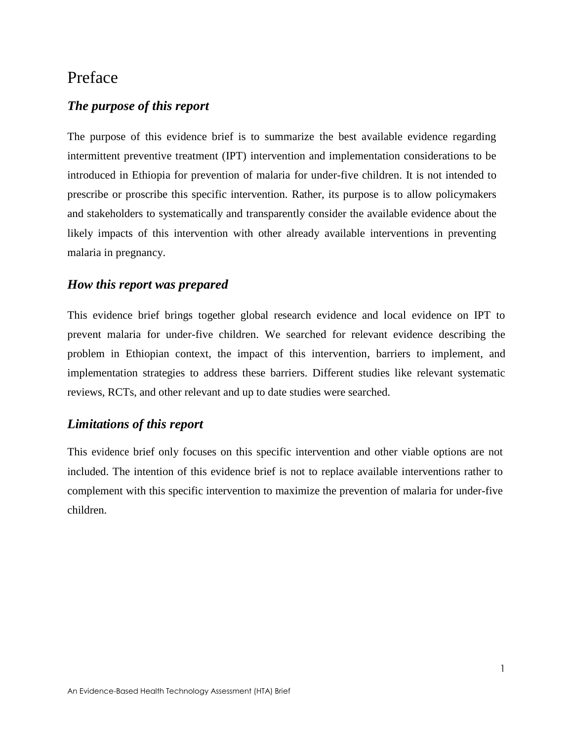# Preface

### *The purpose of this report*

The purpose of this evidence brief is to summarize the best available evidence regarding intermittent preventive treatment (IPT) intervention and implementation considerations to be introduced in Ethiopia for prevention of malaria for under-five children. It is not intended to prescribe or proscribe this specific intervention. Rather, its purpose is to allow policymakers and stakeholders to systematically and transparently consider the available evidence about the likely impacts of this intervention with other already available interventions in preventing malaria in pregnancy.

### *How this report was prepared*

This evidence brief brings together global research evidence and local evidence on IPT to prevent malaria for under-five children. We searched for relevant evidence describing the problem in Ethiopian context, the impact of this intervention, barriers to implement, and implementation strategies to address these barriers. Different studies like relevant systematic reviews, RCTs, and other relevant and up to date studies were searched.

## *Limitations of this report*

This evidence brief only focuses on this specific intervention and other viable options are not included. The intention of this evidence brief is not to replace available interventions rather to complement with this specific intervention to maximize the prevention of malaria for under-five children.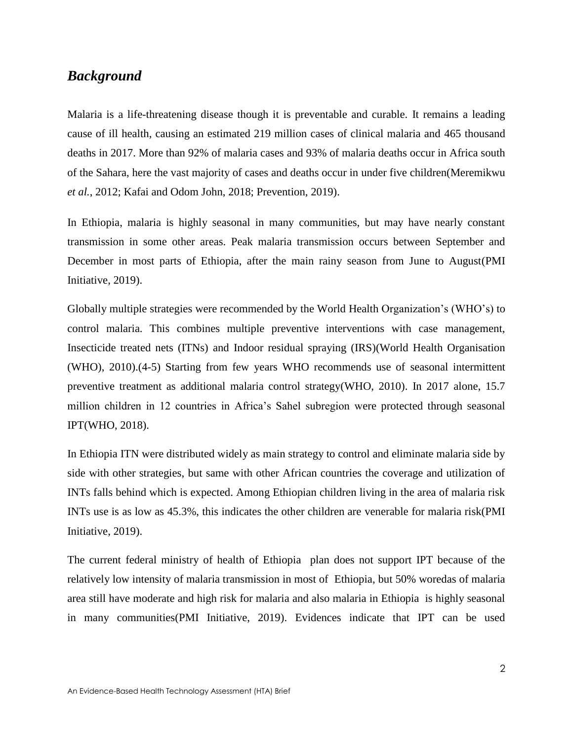# *Background*

Malaria is a life-threatening disease though it is preventable and curable. It remains a leading cause of ill health, causing an estimated 219 million cases of clinical malaria and 465 thousand deaths in 2017. More than 92% of malaria cases and 93% of malaria deaths occur in Africa south of the Sahara, here the vast majority of cases and deaths occur in under five children(Meremikwu *et al.*, 2012; Kafai and Odom John, 2018; Prevention, 2019).

In Ethiopia, malaria is highly seasonal in many communities, but may have nearly constant transmission in some other areas. Peak malaria transmission occurs between September and December in most parts of Ethiopia, after the main rainy season from June to August(PMI Initiative, 2019).

Globally multiple strategies were recommended by the World Health Organization's (WHO's) to control malaria. This combines multiple preventive interventions with case management, Insecticide treated nets (ITNs) and Indoor residual spraying (IRS)(World Health Organisation (WHO), 2010).(4-5) Starting from few years WHO recommends use of seasonal intermittent preventive treatment as additional malaria control strategy(WHO, 2010). In 2017 alone, 15.7 million children in 12 countries in Africa's Sahel subregion were protected through seasonal IPT(WHO, 2018).

In Ethiopia ITN were distributed widely as main strategy to control and eliminate malaria side by side with other strategies, but same with other African countries the coverage and utilization of INTs falls behind which is expected. Among Ethiopian children living in the area of malaria risk INTs use is as low as 45.3%, this indicates the other children are venerable for malaria risk(PMI Initiative, 2019).

The current federal ministry of health of Ethiopia plan does not support IPT because of the relatively low intensity of malaria transmission in most of Ethiopia, but 50% woredas of malaria area still have moderate and high risk for malaria and also malaria in Ethiopia is highly seasonal in many communities(PMI Initiative, 2019). Evidences indicate that IPT can be used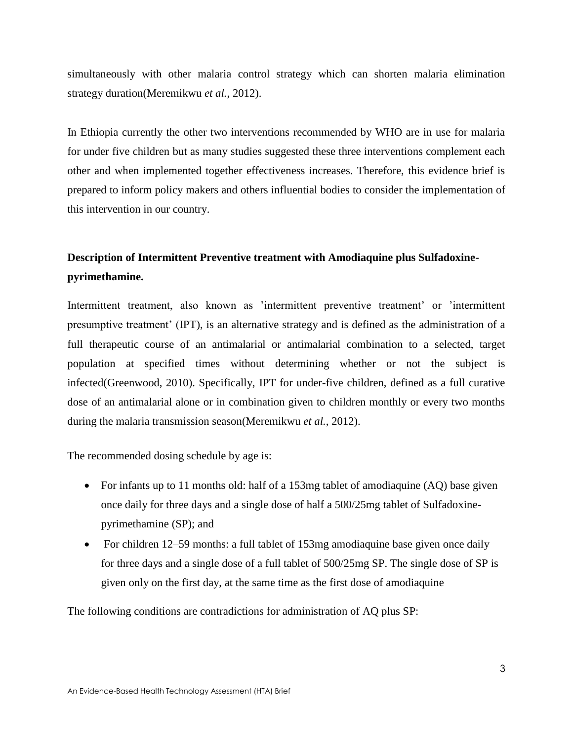simultaneously with other malaria control strategy which can shorten malaria elimination strategy duration(Meremikwu *et al.*, 2012).

In Ethiopia currently the other two interventions recommended by WHO are in use for malaria for under five children but as many studies suggested these three interventions complement each other and when implemented together effectiveness increases. Therefore, this evidence brief is prepared to inform policy makers and others influential bodies to consider the implementation of this intervention in our country.

# **Description of Intermittent Preventive treatment with Amodiaquine plus Sulfadoxinepyrimethamine.**

Intermittent treatment, also known as 'intermittent preventive treatment' or 'intermittent presumptive treatment' (IPT), is an alternative strategy and is defined as the administration of a full therapeutic course of an antimalarial or antimalarial combination to a selected, target population at specified times without determining whether or not the subject is infected(Greenwood, 2010). Specifically, IPT for under-five children, defined as a full curative dose of an antimalarial alone or in combination given to children monthly or every two months during the malaria transmission season(Meremikwu *et al.*, 2012).

The recommended dosing schedule by age is:

- For infants up to 11 months old: half of a 153mg tablet of amodiaquine (AQ) base given once daily for three days and a single dose of half a 500/25mg tablet of Sulfadoxinepyrimethamine (SP); and
- For children 12–59 months: a full tablet of 153mg amodiaquine base given once daily for three days and a single dose of a full tablet of 500/25mg SP. The single dose of SP is given only on the first day, at the same time as the first dose of amodiaquine

The following conditions are contradictions for administration of AQ plus SP: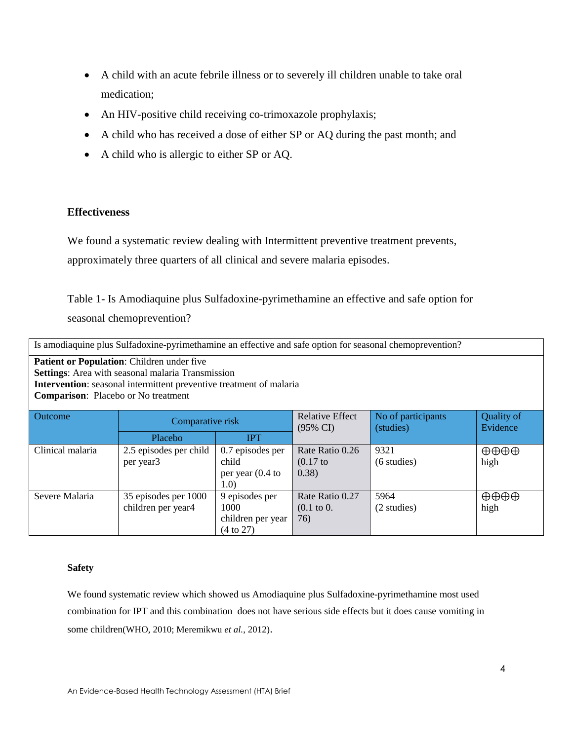- A child with an acute febrile illness or to severely ill children unable to take oral medication;
- An HIV-positive child receiving co-trimoxazole prophylaxis;
- A child who has received a dose of either SP or AQ during the past month; and
- A child who is allergic to either SP or AQ.

#### **Effectiveness**

We found a systematic review dealing with Intermittent preventive treatment prevents,

approximately three quarters of all clinical and severe malaria episodes.

Table 1- Is Amodiaquine plus Sulfadoxine-pyrimethamine an effective and safe option for seasonal chemoprevention?

| Is amodiaquine plus Sulfadoxine-pyrimethamine an effective and safe option for seasonal chemoprevention? |  |
|----------------------------------------------------------------------------------------------------------|--|
|                                                                                                          |  |

**Patient or Population**: Children under five **Settings**: Area with seasonal malaria Transmission **Intervention**: seasonal intermittent preventive treatment of malaria **Comparison**: Placebo or No treatment

| <b>Outcome</b>   | Comparative risk                           |                                                           | <b>Relative Effect</b><br>$(95\% \text{ CI})$   | No of participants<br>(studies) | <b>Quality of</b><br>Evidence  |
|------------------|--------------------------------------------|-----------------------------------------------------------|-------------------------------------------------|---------------------------------|--------------------------------|
|                  | Placebo                                    | <b>IPT</b>                                                |                                                 |                                 |                                |
| Clinical malaria | 2.5 episodes per child<br>per year3        | $0.7$ episodes per<br>child<br>per year $(0.4)$ to<br>1.0 | Rate Ratio 0.26<br>$(0.17)$ to<br>(0.38)        | 9321<br>(6 studies)             | $\oplus \oplus \oplus$<br>high |
| Severe Malaria   | 35 episodes per 1000<br>children per year4 | 9 episodes per<br>1000<br>children per year<br>(4 to 27)  | Rate Ratio 0.27<br>$(0.1 \text{ to } 0.$<br>76) | 5964<br>(2 studies)             | $\oplus \oplus \oplus$<br>high |

#### **Safety**

We found systematic review which showed us Amodiaquine plus Sulfadoxine-pyrimethamine most used combination for IPT and this combination does not have serious side effects but it does cause vomiting in some children(WHO, 2010; Meremikwu *et al.*, 2012).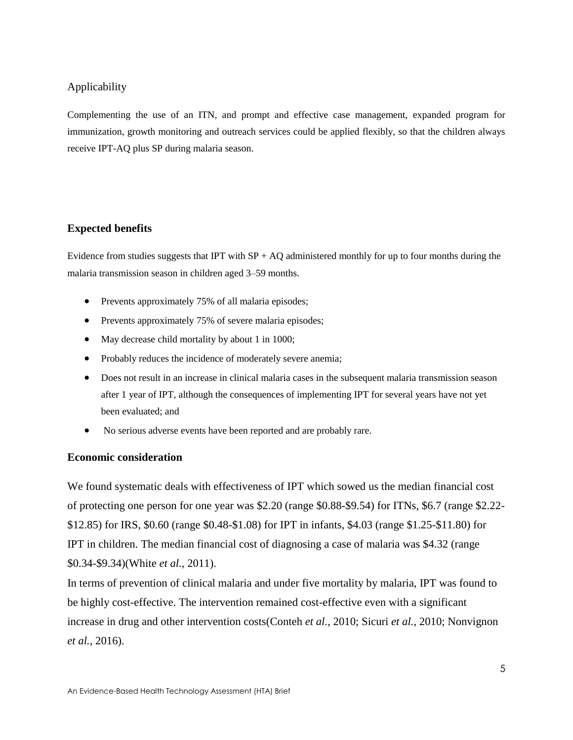### Applicability

Complementing the use of an ITN, and prompt and effective case management, expanded program for immunization, growth monitoring and outreach services could be applied flexibly, so that the children always receive IPT-AQ plus SP during malaria season.

### **Expected benefits**

Evidence from studies suggests that IPT with  $SP + AQ$  administered monthly for up to four months during the malaria transmission season in children aged 3–59 months.

- Prevents approximately 75% of all malaria episodes;
- Prevents approximately 75% of severe malaria episodes;
- May decrease child mortality by about 1 in 1000;
- Probably reduces the incidence of moderately severe anemia;
- Does not result in an increase in clinical malaria cases in the subsequent malaria transmission season after 1 year of IPT, although the consequences of implementing IPT for several years have not yet been evaluated; and
- No serious adverse events have been reported and are probably rare.

### **Economic consideration**

We found systematic deals with effectiveness of IPT which sowed us the median financial cost of protecting one person for one year was \$2.20 (range \$0.88-\$9.54) for ITNs, \$6.7 (range \$2.22- \$12.85) for IRS, \$0.60 (range \$0.48-\$1.08) for IPT in infants, \$4.03 (range \$1.25-\$11.80) for IPT in children. The median financial cost of diagnosing a case of malaria was \$4.32 (range \$0.34-\$9.34)(White *et al.*, 2011).

In terms of prevention of clinical malaria and under five mortality by malaria, IPT was found to be highly cost-effective. The intervention remained cost-effective even with a significant increase in drug and other intervention costs(Conteh *et al.*, 2010; Sicuri *et al.*, 2010; Nonvignon *et al.*, 2016).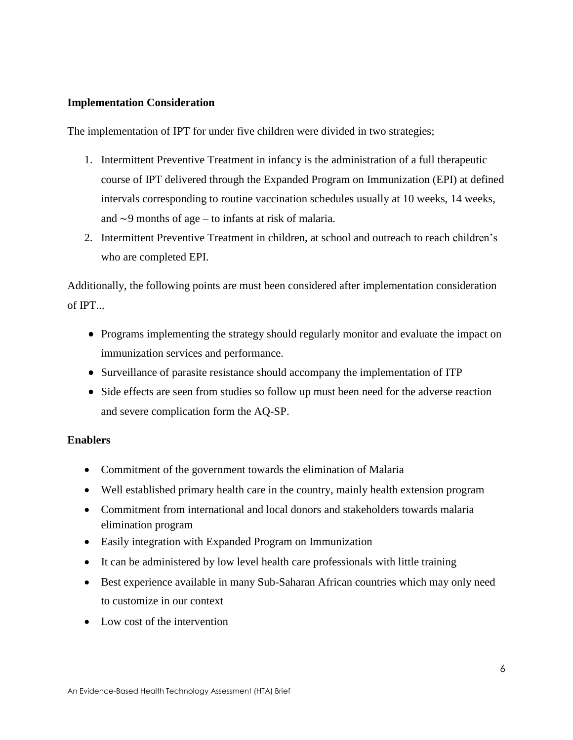### **Implementation Consideration**

The implementation of IPT for under five children were divided in two strategies;

- 1. Intermittent Preventive Treatment in infancy is the administration of a full therapeutic course of IPT delivered through the Expanded Program on Immunization (EPI) at defined intervals corresponding to routine vaccination schedules usually at 10 weeks, 14 weeks, and ∼9 months of age – to infants at risk of malaria.
- 2. Intermittent Preventive Treatment in children, at school and outreach to reach children's who are completed EPI.

Additionally, the following points are must been considered after implementation consideration of IPT...

- Programs implementing the strategy should regularly monitor and evaluate the impact on immunization services and performance.
- Surveillance of parasite resistance should accompany the implementation of ITP
- Side effects are seen from studies so follow up must been need for the adverse reaction and severe complication form the AQ-SP.

### **Enablers**

- Commitment of the government towards the elimination of Malaria
- Well established primary health care in the country, mainly health extension program
- Commitment from international and local donors and stakeholders towards malaria elimination program
- Easily integration with Expanded Program on Immunization
- It can be administered by low level health care professionals with little training
- Best experience available in many Sub-Saharan African countries which may only need to customize in our context
- Low cost of the intervention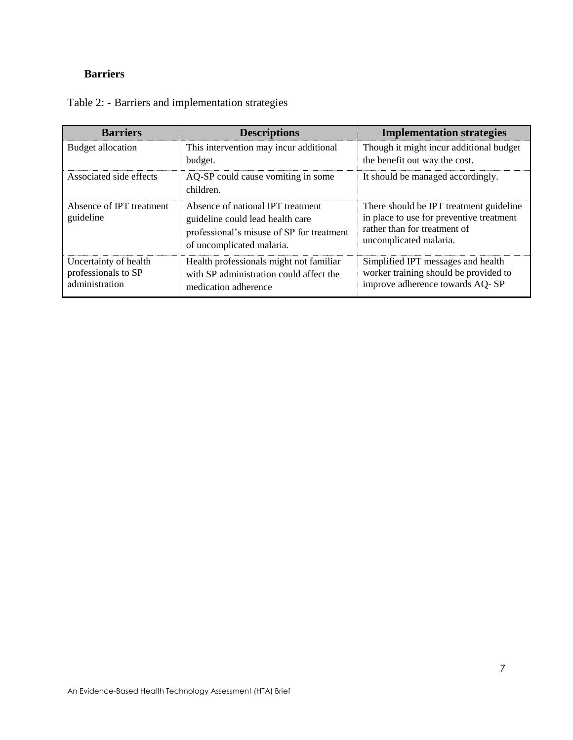# **Barriers**

| <b>Barriers</b>                                                | <b>Descriptions</b>                                                                                                                             | <b>Implementation strategies</b>                                                                                                              |
|----------------------------------------------------------------|-------------------------------------------------------------------------------------------------------------------------------------------------|-----------------------------------------------------------------------------------------------------------------------------------------------|
| <b>Budget allocation</b>                                       | This intervention may incur additional<br>budget.                                                                                               | Though it might incur additional budget<br>the benefit out way the cost.                                                                      |
| Associated side effects                                        | AQ-SP could cause vomiting in some<br>children.                                                                                                 | It should be managed accordingly.                                                                                                             |
| Absence of IPT treatment<br>guideline                          | Absence of national IPT treatment<br>guideline could lead health care<br>professional's misuse of SP for treatment<br>of uncomplicated malaria. | There should be IPT treatment guideline<br>in place to use for preventive treatment<br>rather than for treatment of<br>uncomplicated malaria. |
| Uncertainty of health<br>professionals to SP<br>administration | Health professionals might not familiar<br>with SP administration could affect the<br>medication adherence                                      | Simplified IPT messages and health<br>worker training should be provided to<br>improve adherence towards AQ-SP                                |

| Table 2: - Barriers and implementation strategies |  |  |  |  |
|---------------------------------------------------|--|--|--|--|
|                                                   |  |  |  |  |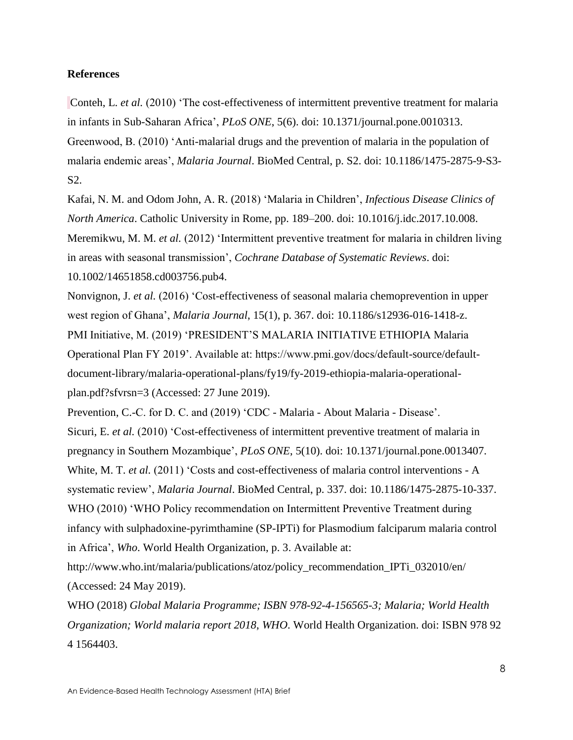#### **References**

Conteh, L. *et al.* (2010) 'The cost-effectiveness of intermittent preventive treatment for malaria in infants in Sub-Saharan Africa', *PLoS ONE*, 5(6). doi: 10.1371/journal.pone.0010313. Greenwood, B. (2010) 'Anti-malarial drugs and the prevention of malaria in the population of malaria endemic areas', *Malaria Journal*. BioMed Central, p. S2. doi: 10.1186/1475-2875-9-S3- S2.

Kafai, N. M. and Odom John, A. R. (2018) 'Malaria in Children', *Infectious Disease Clinics of North America*. Catholic University in Rome, pp. 189–200. doi: 10.1016/j.idc.2017.10.008. Meremikwu, M. M. *et al.* (2012) 'Intermittent preventive treatment for malaria in children living in areas with seasonal transmission', *Cochrane Database of Systematic Reviews*. doi: 10.1002/14651858.cd003756.pub4.

Nonvignon, J. *et al.* (2016) 'Cost-effectiveness of seasonal malaria chemoprevention in upper west region of Ghana', *Malaria Journal*, 15(1), p. 367. doi: 10.1186/s12936-016-1418-z. PMI Initiative, M. (2019) 'PRESIDENT'S MALARIA INITIATIVE ETHIOPIA Malaria Operational Plan FY 2019'. Available at: https://www.pmi.gov/docs/default-source/defaultdocument-library/malaria-operational-plans/fy19/fy-2019-ethiopia-malaria-operationalplan.pdf?sfvrsn=3 (Accessed: 27 June 2019).

Prevention, C.-C. for D. C. and (2019) 'CDC - Malaria - About Malaria - Disease'. Sicuri, E. *et al.* (2010) 'Cost-effectiveness of intermittent preventive treatment of malaria in pregnancy in Southern Mozambique', *PLoS ONE*, 5(10). doi: 10.1371/journal.pone.0013407. White, M. T. *et al.* (2011) 'Costs and cost-effectiveness of malaria control interventions - A systematic review', *Malaria Journal*. BioMed Central, p. 337. doi: 10.1186/1475-2875-10-337. WHO (2010) 'WHO Policy recommendation on Intermittent Preventive Treatment during infancy with sulphadoxine-pyrimthamine (SP-IPTi) for Plasmodium falciparum malaria control in Africa', *Who*. World Health Organization, p. 3. Available at:

http://www.who.int/malaria/publications/atoz/policy\_recommendation\_IPTi\_032010/en/ (Accessed: 24 May 2019).

WHO (2018) *Global Malaria Programme; ISBN 978-92-4-156565-3; Malaria; World Health Organization; World malaria report 2018*, *WHO*. World Health Organization. doi: ISBN 978 92 4 1564403.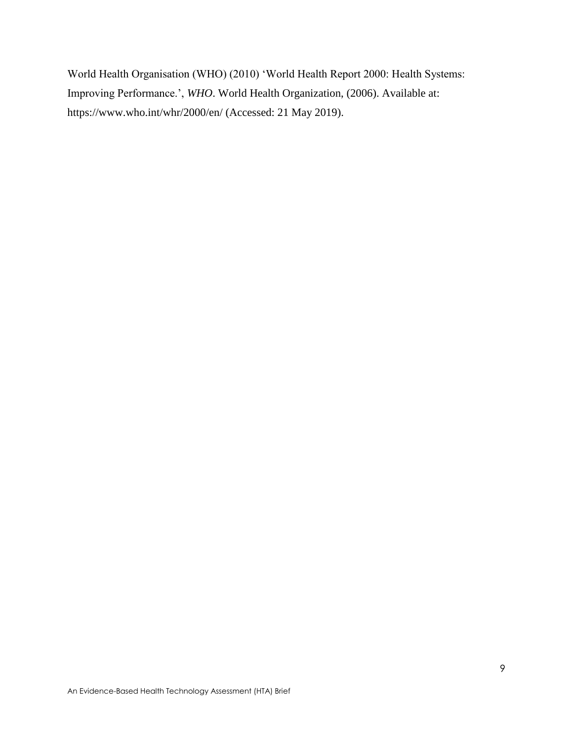World Health Organisation (WHO) (2010) 'World Health Report 2000: Health Systems: Improving Performance.', *WHO*. World Health Organization, (2006). Available at: https://www.who.int/whr/2000/en/ (Accessed: 21 May 2019).